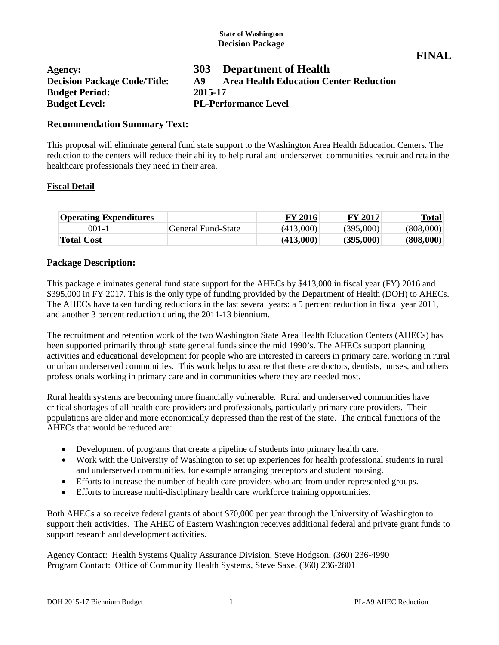**FINAL**

| Agency:                             | <b>303</b> | <b>Department of Health</b>                   |
|-------------------------------------|------------|-----------------------------------------------|
| <b>Decision Package Code/Title:</b> | A9         | <b>Area Health Education Center Reduction</b> |
| <b>Budget Period:</b>               | 2015-17    |                                               |
| <b>Budget Level:</b>                |            | <b>PL-Performance Level</b>                   |

#### **Recommendation Summary Text:**

This proposal will eliminate general fund state support to the Washington Area Health Education Centers. The reduction to the centers will reduce their ability to help rural and underserved communities recruit and retain the healthcare professionals they need in their area.

#### **Fiscal Detail**

| <b>Operating Expenditures</b> |                           | <b>FY 2016</b> | <b>FY 2017</b> | Total     |
|-------------------------------|---------------------------|----------------|----------------|-----------|
| $001 - 1$                     | <b>General Fund-State</b> | (413,000)      | (395,000)      | (808,000) |
| <b>Total Cost</b>             |                           | (413,000)      | (395,000)      | (808,000) |

#### **Package Description:**

This package eliminates general fund state support for the AHECs by \$413,000 in fiscal year (FY) 2016 and \$395,000 in FY 2017. This is the only type of funding provided by the Department of Health (DOH) to AHECs. The AHECs have taken funding reductions in the last several years: a 5 percent reduction in fiscal year 2011, and another 3 percent reduction during the 2011-13 biennium.

The recruitment and retention work of the two Washington State Area Health Education Centers (AHECs) has been supported primarily through state general funds since the mid 1990's. The AHECs support planning activities and educational development for people who are interested in careers in primary care, working in rural or urban underserved communities. This work helps to assure that there are doctors, dentists, nurses, and others professionals working in primary care and in communities where they are needed most.

Rural health systems are becoming more financially vulnerable. Rural and underserved communities have critical shortages of all health care providers and professionals, particularly primary care providers. Their populations are older and more economically depressed than the rest of the state. The critical functions of the AHECs that would be reduced are:

- Development of programs that create a pipeline of students into primary health care.
- Work with the University of Washington to set up experiences for health professional students in rural and underserved communities, for example arranging preceptors and student housing.
- Efforts to increase the number of health care providers who are from under-represented groups.
- Efforts to increase multi-disciplinary health care workforce training opportunities.

Both AHECs also receive federal grants of about \$70,000 per year through the University of Washington to support their activities. The AHEC of Eastern Washington receives additional federal and private grant funds to support research and development activities.

Agency Contact: Health Systems Quality Assurance Division, Steve Hodgson, (360) 236-4990 Program Contact: Office of Community Health Systems, Steve Saxe, (360) 236-2801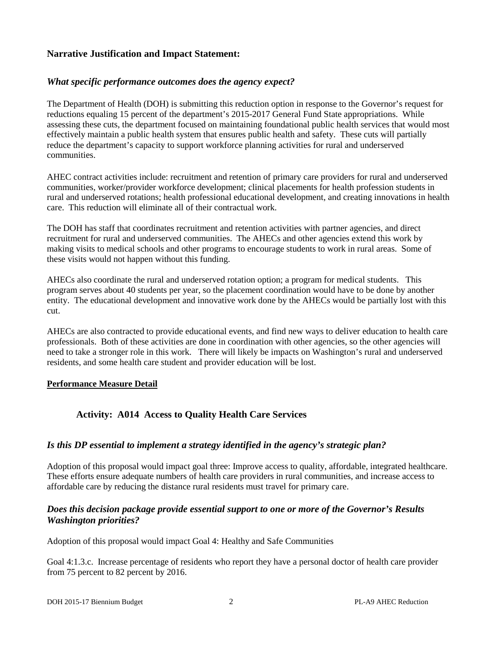### **Narrative Justification and Impact Statement:**

#### *What specific performance outcomes does the agency expect?*

The Department of Health (DOH) is submitting this reduction option in response to the Governor's request for reductions equaling 15 percent of the department's 2015-2017 General Fund State appropriations. While assessing these cuts, the department focused on maintaining foundational public health services that would most effectively maintain a public health system that ensures public health and safety. These cuts will partially reduce the department's capacity to support workforce planning activities for rural and underserved communities.

AHEC contract activities include: recruitment and retention of primary care providers for rural and underserved communities, worker/provider workforce development; clinical placements for health profession students in rural and underserved rotations; health professional educational development, and creating innovations in health care. This reduction will eliminate all of their contractual work.

The DOH has staff that coordinates recruitment and retention activities with partner agencies, and direct recruitment for rural and underserved communities. The AHECs and other agencies extend this work by making visits to medical schools and other programs to encourage students to work in rural areas. Some of these visits would not happen without this funding.

AHECs also coordinate the rural and underserved rotation option; a program for medical students. This program serves about 40 students per year, so the placement coordination would have to be done by another entity. The educational development and innovative work done by the AHECs would be partially lost with this cut.

AHECs are also contracted to provide educational events, and find new ways to deliver education to health care professionals. Both of these activities are done in coordination with other agencies, so the other agencies will need to take a stronger role in this work. There will likely be impacts on Washington's rural and underserved residents, and some health care student and provider education will be lost.

#### **Performance Measure Detail**

# **Activity: A014 Access to Quality Health Care Services**

#### *Is this DP essential to implement a strategy identified in the agency's strategic plan?*

Adoption of this proposal would impact goal three: Improve access to quality, affordable, integrated healthcare. These efforts ensure adequate numbers of health care providers in rural communities, and increase access to affordable care by reducing the distance rural residents must travel for primary care.

#### *Does this decision package provide essential support to one or more of the Governor's Results Washington priorities?*

Adoption of this proposal would impact Goal 4: Healthy and Safe Communities

Goal 4:1.3.c. Increase percentage of residents who report they have a personal doctor of health care provider from 75 percent to 82 percent by 2016.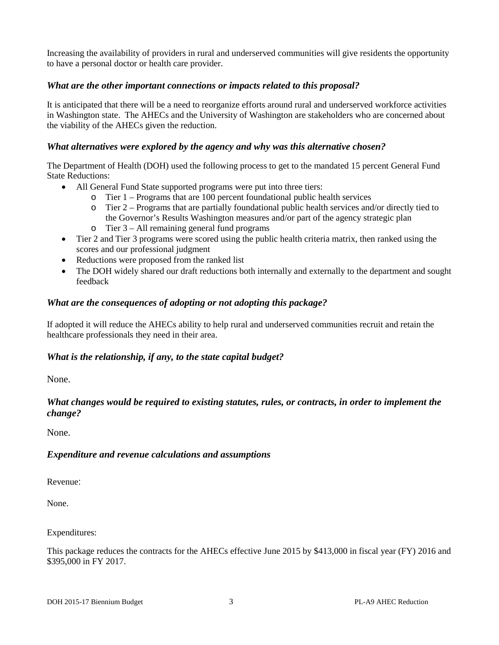Increasing the availability of providers in rural and underserved communities will give residents the opportunity to have a personal doctor or health care provider.

#### *What are the other important connections or impacts related to this proposal?*

It is anticipated that there will be a need to reorganize efforts around rural and underserved workforce activities in Washington state. The AHECs and the University of Washington are stakeholders who are concerned about the viability of the AHECs given the reduction.

### *What alternatives were explored by the agency and why was this alternative chosen?*

The Department of Health (DOH) used the following process to get to the mandated 15 percent General Fund State Reductions:

- All General Fund State supported programs were put into three tiers:
	- o Tier 1 Programs that are 100 percent foundational public health services
	- o Tier 2 Programs that are partially foundational public health services and/or directly tied to the Governor's Results Washington measures and/or part of the agency strategic plan
	- o Tier 3 All remaining general fund programs
- Tier 2 and Tier 3 programs were scored using the public health criteria matrix, then ranked using the scores and our professional judgment
- Reductions were proposed from the ranked list
- The DOH widely shared our draft reductions both internally and externally to the department and sought feedback

### *What are the consequences of adopting or not adopting this package?*

If adopted it will reduce the AHECs ability to help rural and underserved communities recruit and retain the healthcare professionals they need in their area.

# *What is the relationship, if any, to the state capital budget?*

None.

# *What changes would be required to existing statutes, rules, or contracts, in order to implement the change?*

None.

# *Expenditure and revenue calculations and assumptions*

Revenue:

None.

Expenditures:

This package reduces the contracts for the AHECs effective June 2015 by \$413,000 in fiscal year (FY) 2016 and \$395,000 in FY 2017.